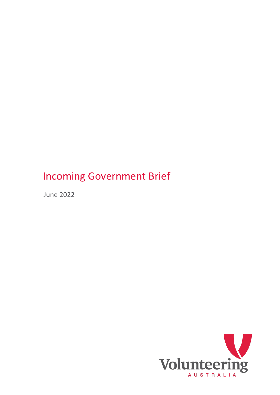June 2022

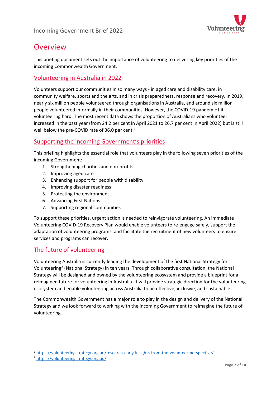

# Overview

This briefing document sets out the importance of volunteering to delivering key priorities of the incoming Commonwealth Government.

# Volunteering in Australia in 2022

Volunteers support our communities in so many ways - in aged care and disability care, in community welfare, sports and the arts, and in crisis preparedness, response and recovery. In 2019, nearly six million people volunteered through organisations in Australia, and around six million people volunteered informally in their communities. However, the COVID-19 pandemic hit volunteering hard. The most recent data shows the proportion of Australians who volunteer increased in the past year (from 24.2 per cent in April 2021 to 26.7 per cent in April 2022) but is still well below the pre-COVID rate of 36.0 per cent.<sup>[1](#page-1-0)</sup>

# Supporting the incoming Government's priorities

This briefing highlights the essential role that volunteers play in the following seven priorities of the incoming Government:

- 1. Strengthening charities and non-profits
- 2. Improving aged care
- 3. Enhancing support for people with disability
- 4. Improving disaster readiness
- 5. Protecting the environment
- 6. Advancing First Nations
- 7. Supporting regional communities

To support these priorities, urgent action is needed to reinvigorate volunteering. An immediate Volunteering COVID-19 Recovery Plan would enable volunteers to re-engage safely, support the adaptation of volunteering programs, and facilitate the recruitment of new volunteers to ensure services and programs can recover.

# The future of volunteering

Volunteering Australia is currently leading the development of the first National Strategy for Volunteering[2](#page-1-1) (National Strategy) in ten years. Through collaborative consultation, the National Strategy will be designed and owned by the volunteering ecosystem and provide a blueprint for a reimagined future for volunteering in Australia. It will provide strategic direction for the volunteering ecosystem and enable volunteering across Australia to be effective, inclusive, and sustainable.

The Commonwealth Government has a major role to play in the design and delivery of the National Strategy and we look forward to working with the incoming Government to reimagine the future of volunteering.

<span id="page-1-0"></span><sup>1</sup> <https://volunteeringstrategy.org.au/research-early-insights-from-the-volunteer-perspective/>

<span id="page-1-1"></span><sup>2</sup> <https://volunteeringstrategy.org.au/>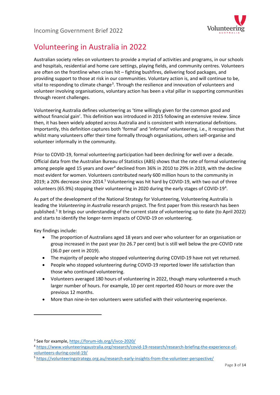

# Volunteering in Australia in 2022

Australian society relies on volunteers to provide a myriad of activities and programs, in our schools and hospitals, residential and home care settings, playing fields, and community centres. Volunteers are often on the frontline when crises hit – fighting bushfires, delivering food packages, and providing support to those at risk in our communities. Voluntary action is, and will continue to be, vital to responding to climate change<sup>[3](#page-2-0)</sup>. Through the resilience and innovation of volunteers and volunteer involving organisations, voluntary action has been a vital pillar in supporting communities through recent challenges.

Volunteering Australia defines volunteering as 'time willingly given for the common good and without financial gain'. This definition was introduced in 2015 following an extensive review. Since then, it has been widely adopted across Australia and is consistent with international definitions. Importantly, this definition captures both 'formal' and 'informal' volunteering, i.e., it recognises that whilst many volunteers offer their time formally through organisations, others self-organise and volunteer informally in the community.

Prior to COVID-19, formal volunteering participation had been declining for well over a decade. Official data from the Australian Bureau of Statistics (ABS) shows that the rate of formal volunteering among people aged 15 years and over<sup>4</sup> declined from 36% in 2010 to 29% in 2019, with the decline most evident for women. Volunteers contributed nearly 600 million hours to the community in 2019; a 20% decrease since 2014.<sup>5</sup> Volunteering was hit hard by COVID-19, with two out of three volunteers (65.9%) stopping their volunteering in 2020 during the early stages of COVID-19<sup>[4](#page-2-1)</sup>.

As part of the development of the National Strategy for Volunteering, Volunteering Australia is leading the *Volunteering in Australia* research project. The first paper from this research has been published. [5](#page-2-2) It brings our understanding of the current state of volunteering up to date (to April 2022) and starts to identify the longer-term impacts of COVID-19 on volunteering.

Key findings include:

- The proportion of Australians aged 18 years and over who volunteer for an organisation or group increased in the past year (to 26.7 per cent) but is still well below the pre-COVID rate (36.0 per cent in 2019).
- The majority of people who stopped volunteering during COVID-19 have not yet returned.
- People who stopped volunteering during COVID-19 reported lower life satisfaction than those who continued volunteering.
- Volunteers averaged 180 hours of volunteering in 2022, though many volunteered a much larger number of hours. For example, 10 per cent reported 450 hours or more over the previous 12 months.
- More than nine-in-ten volunteers were satisfied with their volunteering experience.

<span id="page-2-0"></span><sup>3</sup> See for example,<https://forum-ids.org/i/ivco-2020/>

<span id="page-2-1"></span><sup>4</sup> [https://www.volunteeringaustralia.org/research/covid-19-research/research-briefing-the-experience-of](https://www.volunteeringaustralia.org/research/covid-19-research/research-briefing-the-experience-of-volunteers-during-covid-19/)[volunteers-during-covid-19/](https://www.volunteeringaustralia.org/research/covid-19-research/research-briefing-the-experience-of-volunteers-during-covid-19/)

<span id="page-2-2"></span><sup>5</sup> <https://volunteeringstrategy.org.au/research-early-insights-from-the-volunteer-perspective/>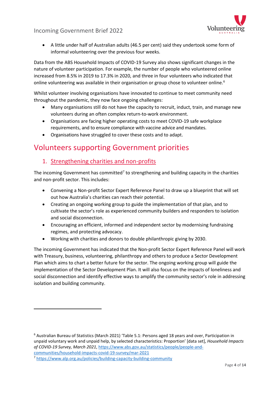

• A little under half of Australian adults (46.5 per cent) said they undertook some form of informal volunteering over the previous four weeks.

Data from the ABS Household Impacts of COVID-19 Survey also shows significant changes in the nature of volunteer participation. For example, the number of people who volunteered online increased from 8.5% in 2019 to 17.3% in 2020, and three in four volunteers who indicated that online volunteering was available in their organisation or group chose to volunteer online.<sup>[6](#page-3-0)</sup>

Whilst volunteer involving organisations have innovated to continue to meet community need throughout the pandemic, they now face ongoing challenges:

- Many organisations still do not have the capacity to recruit, induct, train, and manage new volunteers during an often complex return-to-work environment.
- Organisations are facing higher operating costs to meet COVID-19 safe workplace requirements, and to ensure compliance with vaccine advice and mandates.
- Organisations have struggled to cover these costs and to adapt.

# Volunteers supporting Government priorities

#### 1. Strengthening charities and non-profits

The incoming Government has committed<sup>[7](#page-3-1)</sup> to strengthening and building capacity in the charities and non-profit sector. This includes:

- Convening a Non-profit Sector Expert Reference Panel to draw up a blueprint that will set out how Australia's charities can reach their potential.
- Creating an ongoing working group to guide the implementation of that plan, and to cultivate the sector's role as experienced community builders and responders to isolation and social disconnection.
- Encouraging an efficient, informed and independent sector by modernising fundraising regimes, and protecting advocacy.
- Working with charities and donors to double philanthropic giving by 2030.

The incoming Government has indicated that the Non-profit Sector Expert Reference Panel will work with Treasury, business, volunteering, philanthropy and others to produce a Sector Development Plan which aims to chart a better future for the sector. The ongoing working group will guide the implementation of the Sector Development Plan. It will also focus on the impacts of loneliness and social disconnection and identify effective ways to amplify the community sector's role in addressing isolation and building community.

<span id="page-3-0"></span><sup>6</sup> Australian Bureau of Statistics (March 2021) 'Table 5.1: Persons aged 18 years and over, Participation in unpaid voluntary work and unpaid help, by selected characteristics: Proportion' [data set], *Household Impacts of COVID-19 Survey, March 2021*, [https://www.abs.gov.au/statistics/people/people-and](https://www.abs.gov.au/statistics/people/people-and-communities/household-impacts-covid-19-survey/mar-2021)[communities/household-impacts-covid-19-survey/mar-2021](https://www.abs.gov.au/statistics/people/people-and-communities/household-impacts-covid-19-survey/mar-2021)

<span id="page-3-1"></span><sup>7</sup> <https://www.alp.org.au/policies/building-capacity-building-community>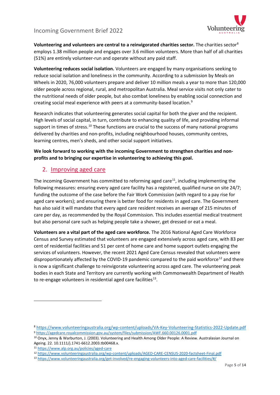

**Volunteering and volunteers are central to a reinvigorated charities sector.** The charities sector[8](#page-4-0) employs 1.38 million people and engages over 3.6 million volunteers. More than half of all charities (51%) are entirely volunteer-run and operate without any paid staff.

**Volunteering reduces social isolation.** Volunteers are engaged by many organisations seeking to reduce social isolation and loneliness in the community. According to a submission by Meals on Wheels in 2020, 76,000 volunteers prepare and deliver 10 million meals a year to more than 120,000 older people across regional, rural, and metropolitan Australia. Meal service visits not only cater to the nutritional needs of older people, but also combat loneliness by enabling social connection and creating social meal experience with peers at a community-based location.[9](#page-4-1)

Research indicates that volunteering generates social capital for both the giver and the recipient. High levels of social capital, in turn, contribute to enhancing quality of life, and providing informal support in times of stress.<sup>[10](#page-4-2)</sup> These functions are crucial to the success of many national programs delivered by charities and non-profits, including neighbourhood houses, community centres, learning centres, men's sheds, and other social support initiatives.

**We look forward to working with the incoming Government to strengthen charities and nonprofits and to bringing our expertise in volunteering to achieving this goal.** 

### 2. Improving aged care

The incoming Government has committed to reforming aged care<sup>[11](#page-4-3)</sup>, including implementing the following measures: ensuring every aged care facility has a registered, qualified nurse on site 24/7; funding the outcome of the case before the Fair Work Commission (with regard to a pay rise for aged care workers); and ensuring there is better food for residents in aged care. The Government has also said it will mandate that every aged care resident receives an average of 215 minutes of care per day, as recommended by the Royal Commission. This includes essential medical treatment but also personal care such as helping people take a shower, get dressed or eat a meal.

**Volunteers are a vital part of the aged care workforce.** The 2016 National Aged Care Workforce Census and Survey estimated that volunteers are engaged extensively across aged care, with 83 per cent of residential facilities and 51 per cent of home care and home support outlets engaging the services of volunteers. However, the recent 2021 Aged Care Census revealed that volunteers were disproportionately affected by the COVID-19 pandemic compared to the paid workforce<sup>[12](#page-4-4)</sup> and there is now a significant challenge to reinvigorate volunteering across aged care. The volunteering peak bodies in each State and Territory are currently working with Commonwealth Department of Health to re-engage volunteers in residential aged care facilities<sup>[13](#page-4-5)</sup>.

<span id="page-4-0"></span><sup>8</sup> <https://www.volunteeringaustralia.org/wp-content/uploads/VA-Key-Volunteering-Statistics-2022-Update.pdf> <sup>9</sup> <https://agedcare.royalcommission.gov.au/system/files/submission/AWF.660.00126.0001.pdf>

<span id="page-4-2"></span><span id="page-4-1"></span><sup>10</sup> Onyx, Jenny & Warburton, J. (2003). Volunteering and Health Among Older People: A Review. Australasian Journal on Ageing. 22. 10.1111/j.1741-6612.2003.tb00468.x.

<span id="page-4-3"></span><sup>11</sup> <https://www.alp.org.au/policies/aged-care>

<span id="page-4-4"></span><sup>12</sup> <https://www.volunteeringaustralia.org/wp-content/uploads/AGED-CARE-CENSUS-2020-factsheet-Final.pdf>

<span id="page-4-5"></span><sup>13</sup> <https://www.volunteeringaustralia.org/get-involved/re-engaging-volunteers-into-aged-care-facilities/#/>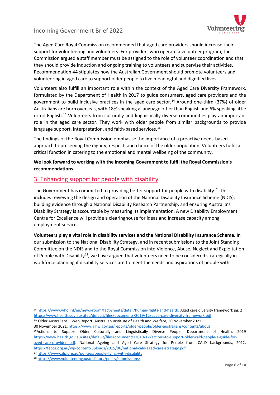

The Aged Care Royal Commission recommended that aged care providers should increase their support for volunteering and volunteers. For providers who operate a volunteer program, the Commission argued a staff member must be assigned to the role of volunteer coordination and that they should provide induction and ongoing training to volunteers and supervise their activities. Recommendation 44 stipulates how the Australian Government should promote volunteers and volunteering in aged care to support older people to live meaningful and dignified lives.

Volunteers also fulfill an important role within the context of the Aged Care Diversity Framework, formulated by the Department of Health in 2017 to guide consumers, aged care providers and the government to build inclusive practices in the aged care sector.<sup>[14](#page-5-0)</sup> Around one-third (37%) of older Australians are born overseas, with 18% speaking a language other than English and 6% speaking little or no English.<sup>[15](#page-5-1)</sup> Volunteers from culturally and linguistically diverse communities play an important role in the aged care sector. They work with older people from similar backgrounds to provide language support, interpretation, and faith-based services.<sup>[16](#page-5-2)</sup>

The findings of the Royal Commission emphasise the importance of a proactive needs-based approach to preserving the dignity, respect, and choice of the older population. Volunteers fulfill a critical function in catering to the emotional and mental wellbeing of the community.

#### **We look forward to working with the incoming Government to fulfil the Royal Commission's recommendations.**

### 3. Enhancing support for people with disability

The Government has committed to providing better support for people with disability<sup>17</sup>. This includes reviewing the design and operation of the National Disability Insurance Scheme (NDIS), building evidence through a National Disability Research Partnership, and ensuring Australia's Disability Strategy is accountable by measuring its implementation. A new Disability Employment Centre for Excellence will provide a clearinghouse for ideas and increase capacity among employment services.

**Volunteers play a vital role in disability services and the National Disability Insurance Scheme.** In our submission to the National Disability Strategy, and in recent submissions to the Joint Standing Committee on the NDIS and to the Royal Commission into Violence, Abuse, Neglect and Exploitation of People with Disability<sup>18</sup>, we have argued that volunteers need to be considered strategically in workforce planning if disability services are to meet the needs and aspirations of people with

<span id="page-5-1"></span><sup>15</sup> Older Australians – Web Report, Australian Institute of Health and Welfare, 30 November 2021 30 November 2021[, https://www.aihw.gov.au/reports/older-people/older-australians/contents/about](https://www.aihw.gov.au/reports/older-people/older-australians/contents/about)

<span id="page-5-2"></span><sup>16</sup>Actions to Support Older Culturally and Linguistically Diverse People, Department of Health, 2019 [https://www.health.gov.au/sites/default/files/documents/2019/12/actions-to-support-older-cald-people-a-guide-for-](https://www.health.gov.au/sites/default/files/documents/2019/12/actions-to-support-older-cald-people-a-guide-for-aged-care-providers.pdf)

[aged-care-providers.pdf.](https://www.health.gov.au/sites/default/files/documents/2019/12/actions-to-support-older-cald-people-a-guide-for-aged-care-providers.pdf) National Ageing and Aged Care Strategy for People from CALD backgrounds, 2012. <https://fecca.org.au/wp-content/uploads/2015/06/national-cald-aged-care-strategy.pdf>

<span id="page-5-3"></span><sup>17</sup> <https://www.alp.org.au/policies/people-living-with-disability>

<span id="page-5-0"></span><sup>14</sup> [https://www.who.int/en/news-room/fact-sheets/detail/human-rights-and-health;](https://www.who.int/en/news-room/fact-sheets/detail/human-rights-and-health) Aged care diversity framework pg. 2 <https://www.health.gov.au/sites/default/files/documents/2019/12/aged-care-diversity-framework.pdf>

<span id="page-5-4"></span><sup>18</sup> <https://www.volunteeringaustralia.org/policy/submissions/>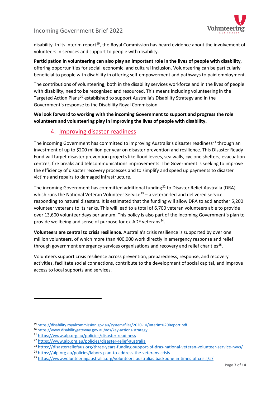

disability. In its interim report<sup>[19](#page-6-0)</sup>, the Royal Commission has heard evidence about the involvement of volunteers in services and support to people with disability.

**Participation in volunteering can also play an important role in the lives of people with disability**, offering opportunities for social, economic, and cultural inclusion. Volunteering can be particularly beneficial to people with disability in offering self-empowerment and pathways to paid employment.

The contributions of volunteering, both in the disability services workforce and in the lives of people with disability, need to be recognised and resourced. This means including volunteering in the Targeted Action Plans<sup>[20](#page-6-1)</sup> established to support Australia's Disability Strategy and in the Government's response to the Disability Royal Commission.

**We look forward to working with the incoming Government to support and progress the role volunteers and volunteering play in improving the lives of people with disability.** 

#### 4. Improving disaster readiness

The incoming Government has committed to improving Australia's disaster readiness<sup>[21](#page-6-2)</sup> through an investment of up to \$200 million per year on disaster prevention and resilience. This Disaster Ready Fund will target disaster prevention projects like flood levees, sea walls, cyclone shelters, evacuation centres, fire breaks and telecommunications improvements. The Government is seeking to improve the efficiency of disaster recovery processes and to simplify and speed up payments to disaster victims and repairs to damaged infrastructure.

The incoming Government has committed additional funding<sup>[22](#page-6-3)</sup> to Disaster Relief Australia (DRA) which runs the National Veteran Volunteer Service<sup>[23](#page-6-4)</sup> – a veteran-led and delivered service responding to natural disasters. It is estimated that the funding will allow DRA to add another 5,200 volunteer veterans to its ranks. This will lead to a total of 6,700 veteran volunteers able to provide over 13,600 volunteer days per annum. This policy is also part of the incoming Government's plan to provide wellbeing and sense of purpose for ex-ADF veterans<sup>[24](#page-6-5)</sup>.

**Volunteers are central to crisis resilience**. Australia's crisis resilience is supported by over one million volunteers, of which more than 400,000 work directly in emergency response and relief through government emergency services organisations and recovery and relief charities<sup>25</sup>.

Volunteers support crisis resilience across prevention, preparedness, response, and recovery activities, facilitate social connections, contribute to the development of social capital, and improve access to local supports and services.

<span id="page-6-0"></span><sup>19</sup> <https://disability.royalcommission.gov.au/system/files/2020-10/Interim%20Report.pdf>

<span id="page-6-1"></span><sup>20</sup> <https://www.disabilitygateway.gov.au/ads/key-actions-strategy>

<span id="page-6-2"></span><sup>21</sup> <https://www.alp.org.au/policies/disaster-readiness>

<span id="page-6-3"></span><sup>22</sup> <https://www.alp.org.au/policies/disaster-relief-australia>

<span id="page-6-4"></span><sup>&</sup>lt;sup>23</sup> <https://disasterreliefaus.org/three-years-funding-support-of-dras-national-veteran-volunteer-service-nvvs/>

<span id="page-6-5"></span><sup>24</sup> <https://alp.org.au/policies/labors-plan-to-address-the-veterans-crisis>

<span id="page-6-6"></span><sup>25</sup> <https://www.volunteeringaustralia.org/volunteers-australias-backbone-in-times-of-crisis/#/>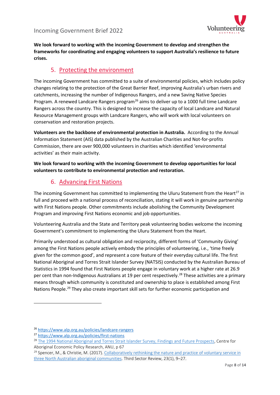

**We look forward to working with the incoming Government to develop and strengthen the frameworks for coordinating and engaging volunteers to support Australia's resilience to future crises.**

# 5. Protecting the environment

The incoming Government has committed to a suite of environmental policies, which includes policy changes relating to the protection of the Great Barrier Reef, improving Australia's urban rivers and catchments, increasing the number of Indigenous Rangers, and a new Saving Native Species Program. A renewed Landcare Rangers program<sup>[26](#page-7-0)</sup> aims to deliver up to a 1000 full time Landcare Rangers across the country. This is designed to increase the capacity of local Landcare and Natural Resource Management groups with Landcare Rangers, who will work with local volunteers on conservation and restoration projects.

**Volunteers are the backbone of environmental protection in Australia.** According to the Annual Information Statement (AIS) data published by the Australian Charities and Not-for-profits Commission, there are over 900,000 volunteers in charities which identified 'environmental activities' as their main activity.

**We look forward to working with the incoming Government to develop opportunities for local volunteers to contribute to environmental protection and restoration.**

# 6. Advancing First Nations

The incoming Government has committed to implementing the Uluru Statement from the Heart<sup>[27](#page-7-1)</sup> in full and proceed with a national process of reconciliation, stating it will work in genuine partnership with First Nations people. Other commitments include abolishing the Community Development Program and improving First Nations economic and job opportunities.

Volunteering Australia and the State and Territory peak volunteering bodies welcome the incoming Government's commitment to implementing the Uluru Statement from the Heart.

Primarily understood as cultural obligation and reciprocity, different forms of 'Community Giving' among the First Nations people actively embody the principles of volunteering, i.e., 'time freely given for the common good', and represent a core feature of their everyday cultural life. The first National Aboriginal and Torres Strait Islander Survey (NATSIS) conducted by the Australian Bureau of Statistics in 1994 found that First Nations people engage in voluntary work at a higher rate at 26.9 per cent than non-Indigenous Australians at 19 per cent respectively.<sup>[28](#page-7-2)</sup> These activities are a primary means through which community is constituted and ownership to place is established among First Nations People.<sup>[29](#page-7-3)</sup> They also create important skill sets for further economic participation and

<span id="page-7-0"></span><sup>26</sup> <https://www.alp.org.au/policies/landcare-rangers>

<span id="page-7-1"></span><sup>27</sup> <https://www.alp.org.au/policies/first-nations>

<span id="page-7-2"></span><sup>&</sup>lt;sup>28</sup> The 1994 National Aboriginal and Torres Strait Islander Survey, Findings and Future Prospects, Centre for Aboriginal Economic Policy Research, ANU, p 67

<span id="page-7-3"></span> $29$  Spencer, M., & Christie, M. (2017). Collaboratively rethinking the nature and practice of voluntary service in [three North Australian aboriginal communities.](https://search.informit.org/doi/epdf/10.3316/informit.812619586272554) Third Sector Review, 23(1), 9–27.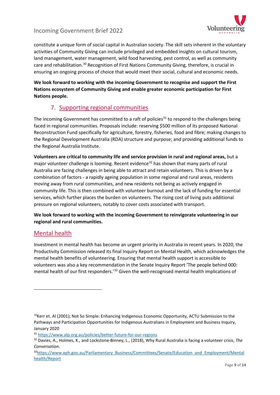

constitute a unique form of social capital in Australian society. The skill sets inherent in the voluntary activities of Community Giving can include privileged and embedded insights on cultural tourism, land management, water management, wild food harvesting, pest control, as well as community care and rehabilitation.[30](#page-8-0) Recognition of First Nations Community Giving, therefore, is crucial in ensuring an ongoing process of choice that would meet their social, cultural and economic needs.

**We look forward to working with the incoming Government to recognise and support the First Nations ecosystem of Community Giving and enable greater economic participation for First Nations people.**

# 7. Supporting regional communities

The incoming Government has committed to a raft of policies<sup>[31](#page-8-1)</sup> to respond to the challenges being faced in regional communities. Proposals include: reserving \$500 million of its proposed National Reconstruction Fund specifically for agriculture, forestry, fisheries, food and fibre; making changes to the Regional Development Australia (RDA) structure and purpose; and providing additional funds to the Regional Australia Institute.

**Volunteers are critical to community life and service provision in rural and regional areas,** but a major volunteer challenge is looming. Recent evidence<sup>[32](#page-8-2)</sup> has shown that many parts of rural Australia are facing challenges in being able to attract and retain volunteers. This is driven by a combination of factors - a rapidly ageing population in some regional and rural areas, residents moving away from rural communities, and new residents not being as actively engaged in community life. This is then combined with volunteer burnout and the lack of funding for essential services, which further places the burden on volunteers. The rising cost of living puts additional pressure on regional volunteers, notably to cover costs associated with transport.

**We look forward to working with the incoming Government to reinvigorate volunteering in our regional and rural communities.** 

# Mental health

Investment in mental health has become an urgent priority in Australia in recent years. In 2020, the Productivity Commission released its final Inquiry Report on Mental Health, which acknowledges the mental health benefits of volunteering. Ensuring that mental health support is accessible to volunteers was also a key recommendation in the Senate Inquiry Report 'The people behind 000: mental health of our first responders.'[33](#page-8-3) Given the well-recognised mental health implications of

<span id="page-8-0"></span> $30$ Kerr et. Al (2001); Not So Simple: Enhancing Indigenous Economic Opportunity, ACTU Submission to the Pathways and Participation Opportunities for Indigenous Australians in Employment and Business Inquiry, January 2020

<span id="page-8-1"></span><sup>31</sup> <https://www.alp.org.au/policies/better-future-for-our-regions>

<span id="page-8-2"></span><sup>32</sup> Davies, A., Holmes, K., and Lockstone-Binney, L., (2018), Why Rural Australia is facing a volunteer crisis, *The Conversation*.

<span id="page-8-3"></span><sup>3</sup>[3https://www.aph.gov.au/Parliamentary\\_Business/Committees/Senate/Education\\_and\\_Employment/Mental](https://www.aph.gov.au/Parliamentary_Business/Committees/Senate/Education_and_Employment/Mentalhealth/Report) [health/Report](https://www.aph.gov.au/Parliamentary_Business/Committees/Senate/Education_and_Employment/Mentalhealth/Report)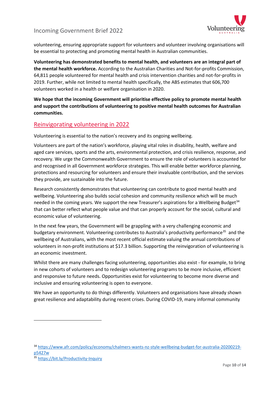

volunteering, ensuring appropriate support for volunteers and volunteer involving organisations will be essential to protecting and promoting mental health in Australian communities.

**Volunteering has demonstrated benefits to mental health, and volunteers are an integral part of the mental health workforce.** According to the Australian Charities and Not-for-profits Commission, 64,811 people volunteered for mental health and crisis intervention charities and not-for-profits in 2019. Further, while not limited to mental health specifically, the ABS estimates that 606,700 volunteers worked in a health or welfare organisation in 2020.

**We hope that the incoming Government will prioritise effective policy to promote mental health and support the contributions of volunteering to positive mental health outcomes for Australian communities.**

# Reinvigorating volunteering in 2022

Volunteering is essential to the nation's recovery and its ongoing wellbeing.

Volunteers are part of the nation's workforce, playing vital roles in disability, health, welfare and aged care services, sports and the arts, environmental protection, and crisis resilience, response, and recovery. We urge the Commonwealth Government to ensure the role of volunteers is accounted for and recognised in all Government workforce strategies. This will enable better workforce planning, protections and resourcing for volunteers and ensure their invaluable contribution, and the services they provide, are sustainable into the future.

Research consistently demonstrates that volunteering can contribute to good mental health and wellbeing. Volunteering also builds social cohesion and community resilience which will be much needed in the coming years. We support the new Treasurer's aspirations for a Wellbeing Budget<sup>34</sup> that can better reflect what people value and that can properly account for the social, cultural and economic value of volunteering.

In the next few years, the Government will be grappling with a very challenging economic and budgetary environment. Volunteering contributes to Australia's productivity performance<sup>35</sup> and the wellbeing of Australians, with the most recent official estimate valuing the annual contributions of volunteers in non-profit institutions at \$17.3 billion. Supporting the reinvigoration of volunteering is an economic investment.

Whilst there are many challenges facing volunteering, opportunities also exist - for example, to bring in new cohorts of volunteers and to redesign volunteering programs to be more inclusive, efficient and responsive to future needs. Opportunities exist for volunteering to become more diverse and inclusive and ensuring volunteering is open to everyone.

We have an opportunity to do things differently. Volunteers and organisations have already shown great resilience and adaptability during recent crises. During COVID-19, many informal community

<span id="page-9-0"></span><sup>34</sup> [https://www.afr.com/policy/economy/chalmers-wants-nz-style-wellbeing-budget-for-australia-20200219](https://www.afr.com/policy/economy/chalmers-wants-nz-style-wellbeing-budget-for-australia-20200219-p5427w) [p5427w](https://www.afr.com/policy/economy/chalmers-wants-nz-style-wellbeing-budget-for-australia-20200219-p5427w)

<span id="page-9-1"></span><sup>35</sup> <https://bit.ly/Productivity-Inquiry>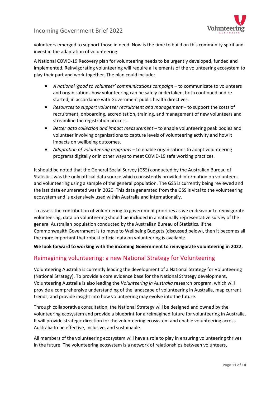

volunteers emerged to support those in need. Now is the time to build on this community spirit and invest in the adaptation of volunteering.

A National COVID-19 Recovery plan for volunteering needs to be urgently developed, funded and implemented. Reinvigorating volunteering will require all elements of the volunteering ecosystem to play their part and work together. The plan could include:

- A national 'qood to volunteer' communications campaign to communicate to volunteers and organisations how volunteering can be safely undertaken, both continued and restarted, in accordance with Government public health directives.
- *Resources to support volunteer recruitment and management* to support the costs of recruitment, onboarding, accreditation, training, and management of new volunteers and streamline the registration process.
- Better data collection and impact measurement to enable volunteering peak bodies and volunteer involving organisations to capture levels of volunteering activity and how it impacts on wellbeing outcomes.
- *Adaptation of volunteering programs*  to enable organisations to adapt volunteering programs digitally or in other ways to meet COVID-19 safe working practices.

It should be noted that the General Social Survey (GSS) conducted by the Australian Bureau of Statistics was the only official data source which consistently provided information on volunteers and volunteering using a sample of the general population. The GSS is currently being reviewed and the last data enumerated was in 2020. This data generated from the GSS is vital to the volunteering ecosystem and is extensively used within Australia and internationally.

To assess the contribution of volunteering to government priorities as we endeavour to reinvigorate volunteering, data on volunteering should be included in a nationally representative survey of the general Australian population conducted by the Australian Bureau of Statistics. If the Commonwealth Government is to move to Wellbeing Budgets (discussed below), then it becomes all the more important that robust official data on volunteering is available.

**We look forward to working with the incoming Government to reinvigorate volunteering in 2022.** 

# Reimagining volunteering: a new National Strategy for Volunteering

Volunteering Australia is currently leading the development of a National Strategy for Volunteering (National Strategy). To provide a core evidence base for the National Strategy development, Volunteering Australia is also leading the *Volunteering in Australia* research program, which will provide a comprehensive understanding of the landscape of volunteering in Australia, map current trends, and provide insight into how volunteering may evolve into the future.

Through collaborative consultation, the National Strategy will be designed and owned by the volunteering ecosystem and provide a blueprint for a reimagined future for volunteering in Australia. It will provide strategic direction for the volunteering ecosystem and enable volunteering across Australia to be effective, inclusive, and sustainable.

All members of the volunteering ecosystem will have a role to play in ensuring volunteering thrives in the future. The volunteering ecosystem is a network of relationships between volunteers,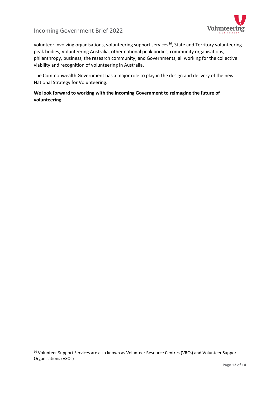

volunteer involving organisations, volunteering support services<sup>[36](#page-11-0)</sup>, State and Territory volunteering peak bodies, Volunteering Australia, other national peak bodies, community organisations, philanthropy, business, the research community, and Governments, all working for the collective viability and recognition of volunteering in Australia.

The Commonwealth Government has a major role to play in the design and delivery of the new National Strategy for Volunteering.

**We look forward to working with the incoming Government to reimagine the future of volunteering.** 

<span id="page-11-0"></span><sup>36</sup> Volunteer Support Services are also known as Volunteer Resource Centres (VRCs) and Volunteer Support Organisations (VSOs)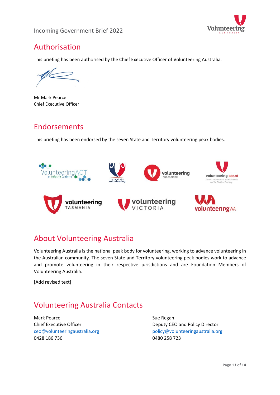



# Authorisation

This briefing has been authorised by the Chief Executive Officer of Volunteering Australia.

Mr Mark Pearce Chief Executive Officer

# Endorsements

This briefing has been endorsed by the seven State and Territory volunteering peak bodies.



# About Volunteering Australia

Volunteering Australia is the national peak body for volunteering, working to advance volunteering in the Australian community. The seven State and Territory volunteering peak bodies work to advance and promote volunteering in their respective jurisdictions and are Foundation Members of Volunteering Australia.

[Add revised text]

# Volunteering Australia Contacts

Mark Pearce **Sue Regan** Sue Regan 0428 186 736 0480 258 723

Chief Executive Officer **Deputy CEO** and Policy Director [ceo@volunteeringaustralia.org](mailto:ceo@volunteeringaustralia.org) [policy@volunteeringaustralia.org](mailto:policy@volunteeringaustralia.org)